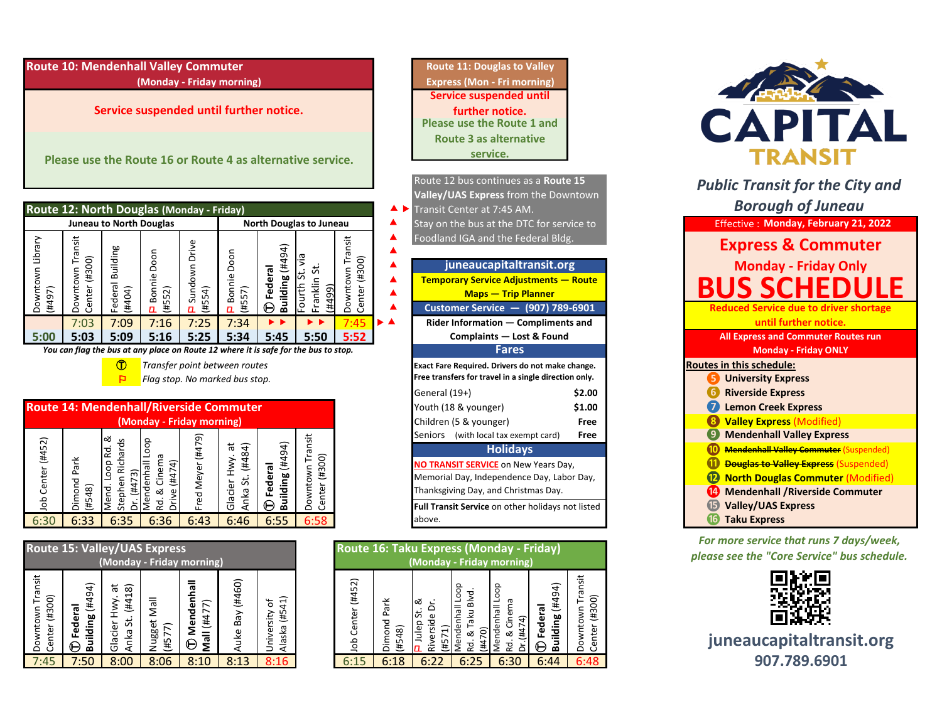**Route 10: Mendenhall Valley Commuter Route 11: Douglas to Valley Route 11: Douglas to Valley** 

**Service suspended until further notice.** 

**Please use the Route 16 or Route 4 as alternative service.**

|                              | Route 12: North Douglas (Monday - Friday) |                                |                                  |                                 |                               |                                      |                                                 |                                          |
|------------------------------|-------------------------------------------|--------------------------------|----------------------------------|---------------------------------|-------------------------------|--------------------------------------|-------------------------------------------------|------------------------------------------|
|                              |                                           | <b>Juneau to North Douglas</b> |                                  |                                 |                               |                                      | <b>North Douglas to Juneau</b>                  |                                          |
| Ubrary<br>Downtown<br>(4497) | ransit<br>(008#)<br>Downtown<br>Center    | Building<br>Federal<br>(#404)  | Doon<br>Bonnie<br>552)<br>共<br>п | Drive<br>Sundown<br>(#554)<br>п | Doon<br>Bonnie<br>(4557)<br>п | (4494)<br>Federal<br><b>Building</b> | ŝ<br>ದ<br>ದ<br>Franklin<br>ourth<br>(4499)<br>щ | Transit<br>(1005#)<br>Downtown<br>Center |
|                              | 7:03                                      | 7:09                           | 7:16                             | 7:25                            | 7:34                          |                                      |                                                 |                                          |
| 5:00                         | 5:03                                      | 5:09                           | 5:16                             | 5:25                            | 5:34                          | 5:45                                 | 5:50                                            | 5:52                                     |

*You can flag the bus at any place on Route 12 where it is safe for the bus to stop.* **Fares Monday - Friday ONLY**

## **Route 14: Mendenhall/Riverside Commuter (Monday - Friday morning)** Downtown Transit<br>Center (#300) Mend. Loop Rd. &<br>Stephen Richards Downtown Transit Mend. Loop Rd. & Fred Meyer (#479) Fred Meyer (#479) Ⓣ **Federal**  Mendenhall Loop Center (#452) Stephen Richards Dr. (#473)<br>Mendenhall Loop Job Center (#452) Glacier Hwy. at<br>Anka St. (#484) Glacier Hwy. at Anka St. (#484) **Building** (#494) Dimond Park<br>(#548) Rd. & Cinema Rd. & Cinema Dimond Park Center (#300) Drive (#474) dol 6:30 6:33 6:35 6:36 6:43 6:46 6:55 6:58 **⓰ Taku Express**

|                                   |                           | <b>Route 15: Valley/UAS Express</b><br>(Monday - Friday morning) |                       |                          |                 |                                |  |  |  |  |
|-----------------------------------|---------------------------|------------------------------------------------------------------|-----------------------|--------------------------|-----------------|--------------------------------|--|--|--|--|
| Downtown Transit<br>Center (#300) | Building (#494)<br>Federa | (#418)<br>Glacier Hwy. at<br>Anka St.                            | Nugget Mall<br>(4577) | Mendenhal<br>Mall (#477) | Auke Bay (#460) | Alaska (#541)<br>University of |  |  |  |  |
| 7:45                              | 7:50                      | 8:00                                                             | 8:06                  | 8:10                     | 8:13            |                                |  |  |  |  |

**Service suspended until further notice. Please use the Route 1 and Route 3 as alternative service. (Monday - Friday morning) Express (Mon - Fri morning)**

⯅ ⯈ ▲ Stay on the bus at the DTC for service to service to service to the Effective : **①** *Transfer point between routes* **Routes in this schedule: Routes in this schedule: Routes in this schedule: Routes in this schedule:**  $\Gamma$  *Flag stop. No marked bus stop. notatively notative standard Free transfers for travel in a single direction only.* $\Gamma$ General (19+) **\$2.00 ❻ Riverside Express** Youth (18 & younger) **\$1.00 Demon Creek Express** Children (5 & younger) **Free ❽ Valley Express** (Modified) Seniors (with local tax exempt card) **Free ❾ Mendenhall Valley Express** Route 12 bus continues as a **Route 15 Valley/UAS Express** from the Downtown Transit Center at 7:45 AM. Foodland IGA and the Federal Bldg. **Rider Information — Compliments and Temporary Service Adjustments — Route Maps — Trip Planner Customer Service — (907) 789-6901 Free transfers for travel in a single direction only. Holidays NO TRANSIT SERVICE** on New Years Day, Memorial Day, Independence Day, Labor Day, Thanksgiving Day, and Christmas Day. **Full Transit Service** on other holidays not listed above.

| oute 15: Valley/UAS Express<br>(Monday - Friday morning) |                                                     |                                           |                                               |                                                |                           |                                                            |  |                                                |                          | Route 16: Taku Express (Monday - Friday)<br>(Monday - Friday morning) |                                                       |                             |                                                 |                                                    |
|----------------------------------------------------------|-----------------------------------------------------|-------------------------------------------|-----------------------------------------------|------------------------------------------------|---------------------------|------------------------------------------------------------|--|------------------------------------------------|--------------------------|-----------------------------------------------------------------------|-------------------------------------------------------|-----------------------------|-------------------------------------------------|----------------------------------------------------|
| ransit<br> Downtown Tra<br> Center (#300)                | €<br>ᡡ<br>共<br>œ<br>ilding<br>ω<br>Ō<br>Φ<br>굶<br>⊢ | ᠊ᢛ<br>ଛ<br>↽<br>(#4<br>ದ<br>Glacier<br>့ဝ | ll6⊠<br>ugget<br>$\widehat{\kappa}$<br>Œ<br>z | ಸ<br>≂<br>ω<br>73<br>#4<br>ω<br>ខឹ<br>$\Theta$ | (4460)<br>Bay<br>uke<br>⋖ | ন<br>৳<br>$\mathbf{d}$<br>ഗ<br>共<br>€<br>ℒ<br>Φ<br>ഄ<br>Ψb |  | $\sim$<br>LO<br>$\overline{44}$<br>enter<br>go | Park<br>ᅙ<br>ၹ<br>ā<br>₩ | ∞<br>û<br>ω<br>ဥ<br>$\overline{v}$<br>ïΣ                              | poop<br>▿<br>$\overline{a}$<br>nhall<br>aku<br>∝<br>ᠭ | ∘<br>ᢐ<br>등<br>4<br>Ħ<br>∼⊀ | ₹<br>ه<br>共<br>ᠭᢐ<br>Iding<br>g<br>ِي<br>←<br>മ | isit<br>$\widehat{8}$<br>$\overline{43}$<br>š<br>ة |
| 7:45                                                     | 7:50                                                | 8:00                                      | 8:06                                          | 8:10                                           | 8:13                      | 8:16                                                       |  | 6:15                                           | 6:18                     | 6:22                                                                  | 6:25                                                  | 6:30                        | 6:44                                            | 6:48                                               |



**❿ Mendenhall Valley Commuter** (Suspended) *O* **Douglas to Valley Express** (Suspended) *<u><b>* North Douglas Commuter (Modified)</u> **⓮ Mendenhall /Riverside Commuter ⓯ Valley/UAS Express S SCHED Reduced Service due to driver shortage until further notice.** *Public Transit for the City and Borough of Juneau <u>Iffective</u>***: Monday, February 21, 2022 Complaints — Lost & Found All Express and Commuter Routes run Express & Commuter Figureaucapitaltransit.org Monday - Friday Only** 

> *For more service that runs 7 days/week,*  **please see the "Core Service" bus schedule.**



**juneaucapitaltransit.org 907.789.6901**